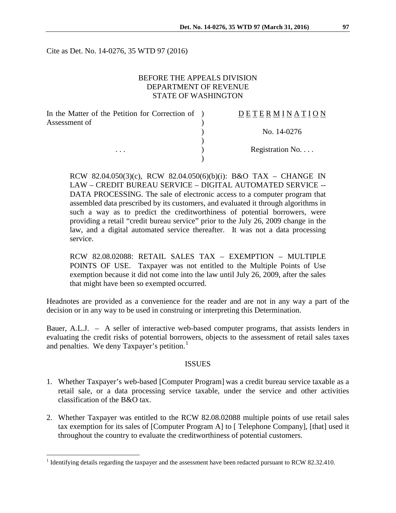Cite as Det. No. 14-0276, 35 WTD 97 (2016)

### BEFORE THE APPEALS DIVISION DEPARTMENT OF REVENUE STATE OF WASHINGTON

| In the Matter of the Petition for Correction of ) | <b>DETERMINATION</b> |
|---------------------------------------------------|----------------------|
| Assessment of                                     |                      |
|                                                   | No. 14-0276          |
|                                                   |                      |
| $\cdots$                                          | Registration No      |
|                                                   |                      |

RCW 82.04.050(3)(c), RCW 82.04.050(6)(b)(i): B&O TAX – CHANGE IN LAW – CREDIT BUREAU SERVICE – DIGITAL AUTOMATED SERVICE -- DATA PROCESSING. The sale of electronic access to a computer program that assembled data prescribed by its customers, and evaluated it through algorithms in such a way as to predict the creditworthiness of potential borrowers, were providing a retail "credit bureau service" prior to the July 26, 2009 change in the law, and a digital automated service thereafter. It was not a data processing service.

RCW 82.08.02088: RETAIL SALES TAX – EXEMPTION – MULTIPLE POINTS OF USE. Taxpayer was not entitled to the Multiple Points of Use exemption because it did not come into the law until July 26, 2009, after the sales that might have been so exempted occurred.

Headnotes are provided as a convenience for the reader and are not in any way a part of the decision or in any way to be used in construing or interpreting this Determination.

Bauer, A.L.J. – A seller of interactive web-based computer programs, that assists lenders in evaluating the credit risks of potential borrowers, objects to the assessment of retail sales taxes and penalties. We deny Taxpayer's petition.<sup>[1](#page-0-0)</sup>

#### **ISSUES**

- 1. Whether Taxpayer's web-based [Computer Program] was a credit bureau service taxable as a retail sale, or a data processing service taxable, under the service and other activities classification of the B&O tax.
- 2. Whether Taxpayer was entitled to the RCW 82.08.02088 multiple points of use retail sales tax exemption for its sales of [Computer Program A] to [ Telephone Company], [that] used it throughout the country to evaluate the creditworthiness of potential customers.

<span id="page-0-0"></span><sup>&</sup>lt;sup>1</sup> Identifying details regarding the taxpayer and the assessment have been redacted pursuant to RCW 82.32.410.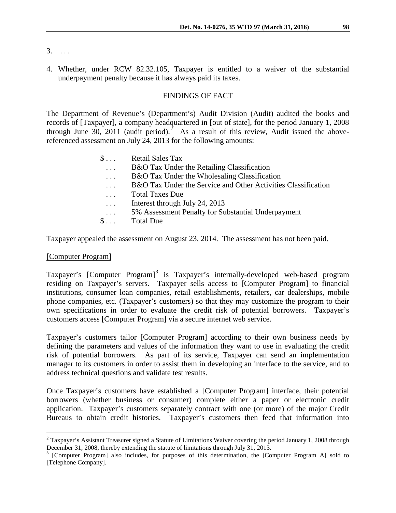3. . . .

4. Whether, under RCW 82.32.105, Taxpayer is entitled to a waiver of the substantial underpayment penalty because it has always paid its taxes.

#### FINDINGS OF FACT

The Department of Revenue's (Department's) Audit Division (Audit) audited the books and records of [Taxpayer], a company headquartered in [out of state], for the period January 1, 2008 through June 30, [2](#page-1-0)011 (audit period).<sup>2</sup> As a result of this review, Audit issued the abovereferenced assessment on July 24, 2013 for the following amounts:

| $\S \dots$ | <b>Retail Sales Tax</b>                                       |
|------------|---------------------------------------------------------------|
| $\cdot$ .  | B&O Tax Under the Retailing Classification                    |
| $\cdots$   | B&O Tax Under the Wholesaling Classification                  |
| $\cdots$   | B&O Tax Under the Service and Other Activities Classification |
| $\cdots$   | <b>Total Taxes Due</b>                                        |
| $\ddots$   | Interest through July 24, 2013                                |
| $\sim$     | 5% Assessment Penalty for Substantial Underpayment            |
| $\S \dots$ | <b>Total Due</b>                                              |
|            |                                                               |

Taxpayer appealed the assessment on August 23, 2014. The assessment has not been paid.

#### [Computer Program]

Taxpayer's [Computer Program]<sup>[3](#page-1-1)</sup> is Taxpayer's internally-developed web-based program residing on Taxpayer's servers. Taxpayer sells access to [Computer Program] to financial institutions, consumer loan companies, retail establishments, retailers, car dealerships, mobile phone companies, etc. (Taxpayer's customers) so that they may customize the program to their own specifications in order to evaluate the credit risk of potential borrowers. Taxpayer's customers access [Computer Program] via a secure internet web service.

Taxpayer's customers tailor [Computer Program] according to their own business needs by defining the parameters and values of the information they want to use in evaluating the credit risk of potential borrowers. As part of its service, Taxpayer can send an implementation manager to its customers in order to assist them in developing an interface to the service, and to address technical questions and validate test results.

Once Taxpayer's customers have established a [Computer Program] interface, their potential borrowers (whether business or consumer) complete either a paper or electronic credit application. Taxpayer's customers separately contract with one (or more) of the major Credit Bureaus to obtain credit histories. Taxpayer's customers then feed that information into

<span id="page-1-0"></span> $2$  Taxpayer's Assistant Treasurer signed a Statute of Limitations Waiver covering the period January 1, 2008 through December 31, 2008, thereby extending the statute of limitations through July 31, 2013.<br><sup>3</sup> [Computer Program] also includes, for purposes of this determination, the [Computer Program A] sold to

<span id="page-1-1"></span><sup>[</sup>Telephone Company].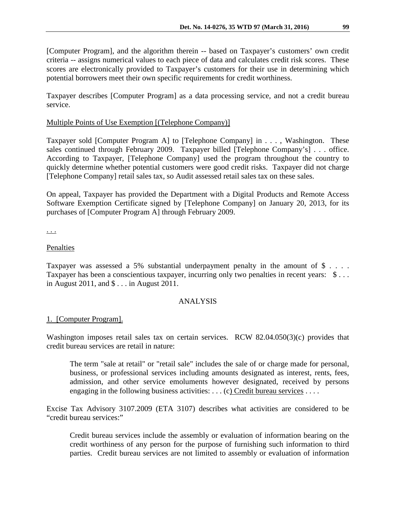[Computer Program], and the algorithm therein -- based on Taxpayer's customers' own credit criteria -- assigns numerical values to each piece of data and calculates credit risk scores. These scores are electronically provided to Taxpayer's customers for their use in determining which potential borrowers meet their own specific requirements for credit worthiness.

Taxpayer describes [Computer Program] as a data processing service, and not a credit bureau service.

# Multiple Points of Use Exemption [(Telephone Company)]

Taxpayer sold [Computer Program A] to [Telephone Company] in . . . , Washington. These sales continued through February 2009. Taxpayer billed [Telephone Company's] . . . office. According to Taxpayer, [Telephone Company] used the program throughout the country to quickly determine whether potential customers were good credit risks. Taxpayer did not charge [Telephone Company] retail sales tax, so Audit assessed retail sales tax on these sales.

On appeal, Taxpayer has provided the Department with a Digital Products and Remote Access Software Exemption Certificate signed by [Telephone Company] on January 20, 2013, for its purchases of [Computer Program A] through February 2009.

. . .

# Penalties

Taxpayer was assessed a 5% substantial underpayment penalty in the amount of  $\frac{1}{2}$ .... Taxpayer has been a conscientious taxpayer, incurring only two penalties in recent years: \$... in August 2011, and \$ . . . in August 2011.

## ANALYSIS

## 1. [Computer Program].

Washington imposes retail sales tax on certain services. RCW 82.04.050(3)(c) provides that credit bureau services are retail in nature:

The term "sale at retail" or "retail sale" includes the sale of or charge made for personal, business, or professional services including amounts designated as interest, rents, fees, admission, and other service emoluments however designated, received by persons engaging in the following business activities:  $\dots$  (c) Credit bureau services  $\dots$ .

Excise Tax Advisory 3107.2009 (ETA 3107) describes what activities are considered to be "credit bureau services:"

Credit bureau services include the assembly or evaluation of information bearing on the credit worthiness of any person for the purpose of furnishing such information to third parties. Credit bureau services are not limited to assembly or evaluation of information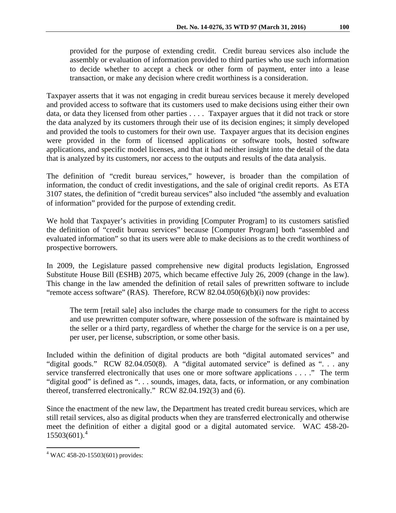provided for the purpose of extending credit. Credit bureau services also include the assembly or evaluation of information provided to third parties who use such information to decide whether to accept a check or other form of payment, enter into a lease transaction, or make any decision where credit worthiness is a consideration.

Taxpayer asserts that it was not engaging in credit bureau services because it merely developed and provided access to software that its customers used to make decisions using either their own data, or data they licensed from other parties . . . . Taxpayer argues that it did not track or store the data analyzed by its customers through their use of its decision engines; it simply developed and provided the tools to customers for their own use. Taxpayer argues that its decision engines were provided in the form of licensed applications or software tools, hosted software applications, and specific model licenses, and that it had neither insight into the detail of the data that is analyzed by its customers, nor access to the outputs and results of the data analysis.

The definition of "credit bureau services," however, is broader than the compilation of information, the conduct of credit investigations, and the sale of original credit reports. As ETA 3107 states, the definition of "credit bureau services" also included "the assembly and evaluation of information" provided for the purpose of extending credit.

We hold that Taxpayer's activities in providing [Computer Program] to its customers satisfied the definition of "credit bureau services" because [Computer Program] both "assembled and evaluated information" so that its users were able to make decisions as to the credit worthiness of prospective borrowers.

In 2009, the Legislature passed comprehensive new digital products legislation, Engrossed Substitute House Bill (ESHB) 2075, which became effective July 26, 2009 (change in the law). This change in the law amended the definition of retail sales of prewritten software to include "remote access software" (RAS). Therefore, RCW 82.04.050(6)(b)(i) now provides:

The term [retail sale] also includes the charge made to consumers for the right to access and use prewritten computer software, where possession of the software is maintained by the seller or a third party, regardless of whether the charge for the service is on a per use, per user, per license, subscription, or some other basis.

Included within the definition of digital products are both "digital automated services" and "digital goods." RCW 82.04.050(8). A "digital automated service" is defined as "... any service transferred electronically that uses one or more software applications . . . ." The term "digital good" is defined as ". . . sounds, images, data, facts, or information, or any combination thereof, transferred electronically." RCW 82.04.192(3) and (6).

Since the enactment of the new law, the Department has treated credit bureau services, which are still retail services, also as digital products when they are transferred electronically and otherwise meet the definition of either a digital good or a digital automated service. WAC 458-20-  $15503(601).$ <sup>[4](#page-3-0)</sup>

<span id="page-3-0"></span> <sup>4</sup> WAC 458-20-15503(601) provides: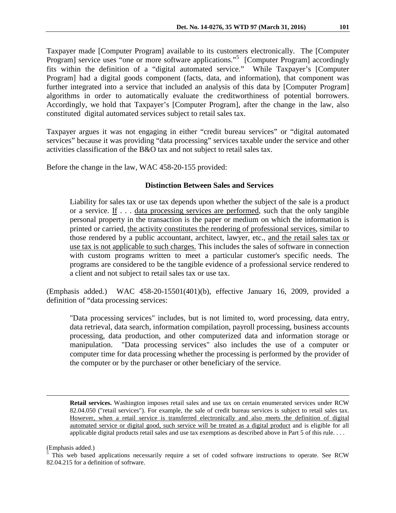Taxpayer made [Computer Program] available to its customers electronically. The [Computer Program] service uses "one or more software applications."<sup>[5](#page-4-0)</sup> [Computer Program] accordingly fits within the definition of a "digital automated service." While Taxpayer's [Computer Program] had a digital goods component (facts, data, and information), that component was further integrated into a service that included an analysis of this data by [Computer Program] algorithms in order to automatically evaluate the creditworthiness of potential borrowers. Accordingly, we hold that Taxpayer's [Computer Program], after the change in the law, also constituted digital automated services subject to retail sales tax.

Taxpayer argues it was not engaging in either "credit bureau services" or "digital automated services" because it was providing "data processing" services taxable under the service and other activities classification of the B&O tax and not subject to retail sales tax.

Before the change in the law, WAC 458-20-155 provided:

# **Distinction Between Sales and Services**

Liability for sales tax or use tax depends upon whether the subject of the sale is a product or a service. If . . . data processing services are performed, such that the only tangible personal property in the transaction is the paper or medium on which the information is printed or carried, the activity constitutes the rendering of professional services, similar to those rendered by a public accountant, architect, lawyer, etc., and the retail sales tax or use tax is not applicable to such charges. This includes the sales of software in connection with custom programs written to meet a particular customer's specific needs. The programs are considered to be the tangible evidence of a professional service rendered to a client and not subject to retail sales tax or use tax.

(Emphasis added.) WAC 458-20-15501(401)(b), effective January 16, 2009, provided a definition of "data processing services:

"Data processing services" includes, but is not limited to, word processing, data entry, data retrieval, data search, information compilation, payroll processing, business accounts processing, data production, and other computerized data and information storage or manipulation. "Data processing services" also includes the use of a computer or computer time for data processing whether the processing is performed by the provider of the computer or by the purchaser or other beneficiary of the service.

**Retail services.** Washington imposes retail sales and use tax on certain enumerated services under RCW 82.04.050 ("retail services"). For example, the sale of credit bureau services is subject to retail sales tax. However, when a retail service is transferred electronically and also meets the definition of digital automated service or digital good, such service will be treated as a digital product and is eligible for all applicable digital products retail sales and use tax exemptions as described above in Part 5 of this rule. . . .

(Emphasis added.)

 $\overline{a}$ 

<span id="page-4-0"></span><sup>&</sup>lt;sup>5</sup> This web based applications necessarily require a set of coded software instructions to operate. See RCW 82.04.215 for a definition of software.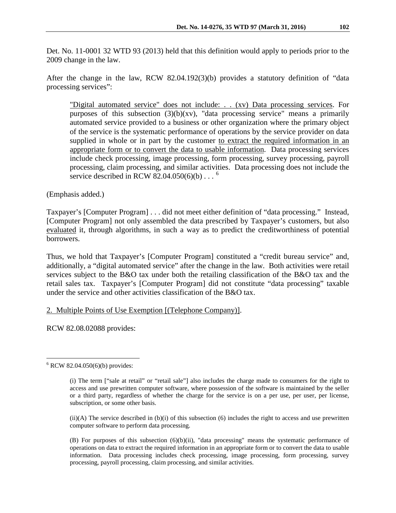Det. No. 11-0001 32 WTD 93 (2013) held that this definition would apply to periods prior to the 2009 change in the law.

After the change in the law, RCW 82.04.192(3)(b) provides a statutory definition of "data processing services":

"Digital automated service" does not include: . . (xv) Data processing services. For purposes of this subsection  $(3)(b)(xv)$ , "data processing service" means a primarily automated service provided to a business or other organization where the primary object of the service is the systematic performance of operations by the service provider on data supplied in whole or in part by the customer to extract the required information in an appropriate form or to convert the data to usable information. Data processing services include check processing, image processing, form processing, survey processing, payroll processing, claim processing, and similar activities. Data processing does not include the service described in RCW [82.04.050\(](http://app.leg.wa.gov/rcw/default.aspx?cite=82.04.050)[6](#page-5-0))(b)... $^6$ 

(Emphasis added.)

Taxpayer's [Computer Program] . . . did not meet either definition of "data processing." Instead, [Computer Program] not only assembled the data prescribed by Taxpayer's customers, but also evaluated it, through algorithms, in such a way as to predict the creditworthiness of potential borrowers.

Thus, we hold that Taxpayer's [Computer Program] constituted a "credit bureau service" and, additionally, a "digital automated service" after the change in the law. Both activities were retail services subject to the B&O tax under both the retailing classification of the B&O tax and the retail sales tax. Taxpayer's [Computer Program] did not constitute "data processing" taxable under the service and other activities classification of the B&O tax.

# 2. Multiple Points of Use Exemption [(Telephone Company)].

RCW 82.08.02088 provides:

 $(ii)(A)$  The service described in  $(b)(i)$  of this subsection  $(6)$  includes the right to access and use prewritten computer software to perform data processing.

(B) For purposes of this subsection (6)(b)(ii), "data processing" means the systematic performance of operations on data to extract the required information in an appropriate form or to convert the data to usable information. Data processing includes check processing, image processing, form processing, survey processing, payroll processing, claim processing, and similar activities.

<span id="page-5-0"></span> $6$  RCW 82.04.050(6)(b) provides:

<sup>(</sup>i) The term ["sale at retail" or "retail sale"] also includes the charge made to consumers for the right to access and use prewritten computer software, where possession of the software is maintained by the seller or a third party, regardless of whether the charge for the service is on a per use, per user, per license, subscription, or some other basis.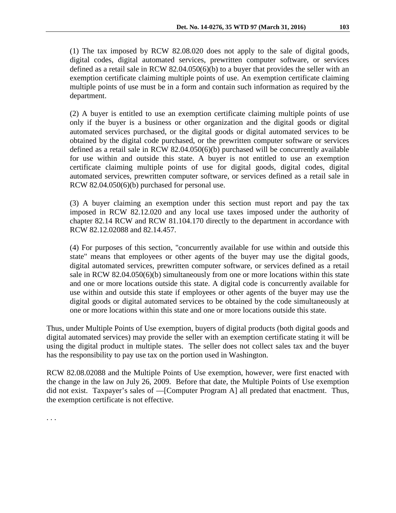(1) The tax imposed by RCW 82.08.020 does not apply to the sale of digital goods, digital codes, digital automated services, prewritten computer software, or services defined as a retail sale in RCW 82.04.050(6)(b) to a buyer that provides the seller with an exemption certificate claiming multiple points of use. An exemption certificate claiming multiple points of use must be in a form and contain such information as required by the department.

(2) A buyer is entitled to use an exemption certificate claiming multiple points of use only if the buyer is a business or other organization and the digital goods or digital automated services purchased, or the digital goods or digital automated services to be obtained by the digital code purchased, or the prewritten computer software or services defined as a retail sale in RCW 82.04.050(6)(b) purchased will be concurrently available for use within and outside this state. A buyer is not entitled to use an exemption certificate claiming multiple points of use for digital goods, digital codes, digital automated services, prewritten computer software, or services defined as a retail sale in RCW 82.04.050(6)(b) purchased for personal use.

(3) A buyer claiming an exemption under this section must report and pay the tax imposed in RCW 82.12.020 and any local use taxes imposed under the authority of chapter 82.14 RCW and RCW 81.104.170 directly to the department in accordance with RCW 82.12.02088 and 82.14.457.

(4) For purposes of this section, "concurrently available for use within and outside this state" means that employees or other agents of the buyer may use the digital goods, digital automated services, prewritten computer software, or services defined as a retail sale in RCW 82.04.050(6)(b) simultaneously from one or more locations within this state and one or more locations outside this state. A digital code is concurrently available for use within and outside this state if employees or other agents of the buyer may use the digital goods or digital automated services to be obtained by the code simultaneously at one or more locations within this state and one or more locations outside this state.

Thus, under Multiple Points of Use exemption, buyers of digital products (both digital goods and digital automated services) may provide the seller with an exemption certificate stating it will be using the digital product in multiple states. The seller does not collect sales tax and the buyer has the responsibility to pay use tax on the portion used in Washington.

RCW 82.08.02088 and the Multiple Points of Use exemption, however, were first enacted with the change in the law on July 26, 2009. Before that date, the Multiple Points of Use exemption did not exist. Taxpayer's sales of —[Computer Program A] all predated that enactment. Thus, the exemption certificate is not effective.

. . .